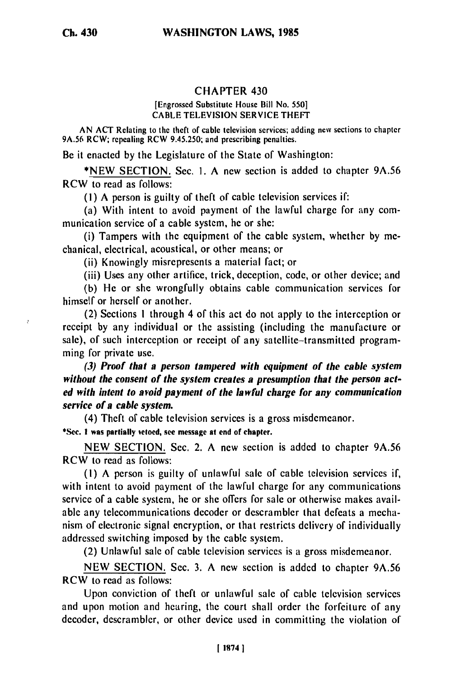## CHAPTER 430

## [Engrossed Substitute House Bill No. 550] CABLE TELEVISION SERVICE THEFT

AN ACT Relating to the theft of cable television services; adding new sections to chapter 9A.56 RCW; repealing RCW 9.45.250; and prescribing penalties.

Be it enacted by the Legislature of the State of Washington:

\*NEW SECTION. Sec. I. A new section is added to chapter 9A.56 RCW to read as follows:

**(I)** A person is guilty of theft of cable television services if:

(a) With intent to avoid payment of the lawful charge for any communication service of a cable system, he or she:

(i) Tampers with the equipment of the cable system, whether by mechanical, electrical, acoustical, or other means; or

(ii) Knowingly misrepresents a material fact; or

(iii) Uses any other artifice, trick, deception, code, or other device; and

(b) He or she wrongfully obtains cable communication services for himself or herself or another.

(2) Sections **I** through 4 of this act do not apply to the interception or receipt by any individual or the assisting (including the manufacture or sale), of such interception or receipt of any satellite-transmitted programming for private use.

*(3) Proof that a person tampered with equipment of the cable system without the consent of the system creates a presumption that the person acted with intent to avoid payment of the lawful charge for any communication service of a cable system.*

(4) Theft of cable television services is a gross misdemeanor. \*Sec. **I** was partially vetoed, see message at end of chapter.

NEW SECTION. Sec. 2. A new section is added to chapter 9A.56 RCW to read as follows:

(I) A person is guilty of unlawful sale of cable television services if, with intent to avoid payment of the lawful charge for any communications service of a cable system, he or she offers for sale or otherwise makes available any telecommunications decoder or descrambler that defeats a mechanism of electronic signal encryption, or that restricts delivery of individually addressed switching imposed by the cable system.

(2) Unlawful sale of cable television services is a gross misdemeanor.

NEW SECTION. Sec. 3. A new section is added to chapter 9A.56 RCW to read as follows:

Upon conviction of theft or unlawful sale of cable television services and upon motion and hearing, the court shall order the forfeiture of any decoder, descrambler, or other device used in committing the violation of